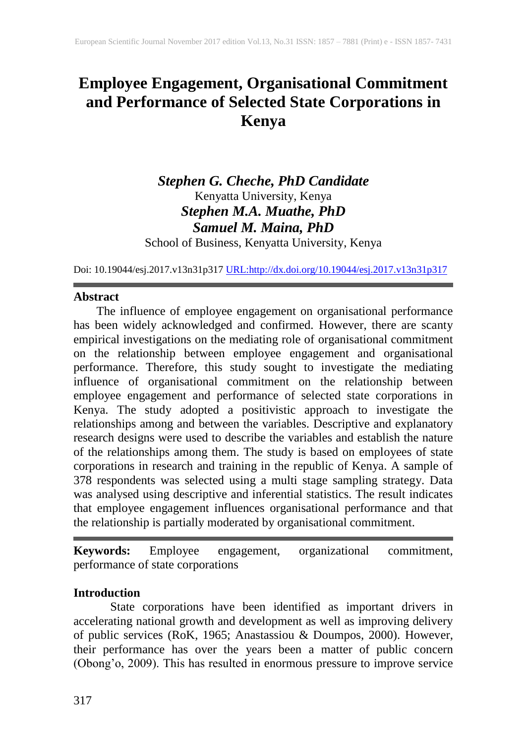# **Employee Engagement, Organisational Commitment and Performance of Selected State Corporations in Kenya**

# *Stephen G. Cheche, PhD Candidate* Kenyatta University, Kenya *Stephen M.A. Muathe, PhD Samuel M. Maina, PhD*

School of Business, Kenyatta University, Kenya

Doi: 10.19044/esj.2017.v13n31p317 [URL:http://dx.doi.org/10.19044/esj.2017.v13n31p317](http://dx.doi.org/10.19044/esj.2017.v13n31p317)

#### **Abstract**

The influence of employee engagement on organisational performance has been widely acknowledged and confirmed. However, there are scanty empirical investigations on the mediating role of organisational commitment on the relationship between employee engagement and organisational performance. Therefore, this study sought to investigate the mediating influence of organisational commitment on the relationship between employee engagement and performance of selected state corporations in Kenya. The study adopted a positivistic approach to investigate the relationships among and between the variables. Descriptive and explanatory research designs were used to describe the variables and establish the nature of the relationships among them. The study is based on employees of state corporations in research and training in the republic of Kenya. A sample of 378 respondents was selected using a multi stage sampling strategy. Data was analysed using descriptive and inferential statistics. The result indicates that employee engagement influences organisational performance and that the relationship is partially moderated by organisational commitment.

**Keywords:** Employee engagement, organizational commitment, performance of state corporations

#### **Introduction**

State corporations have been identified as important drivers in accelerating national growth and development as well as improving delivery of public services (RoK, 1965; Anastassiou & Doumpos, 2000). However, their performance has over the years been a matter of public concern (Obong'o, 2009). This has resulted in enormous pressure to improve service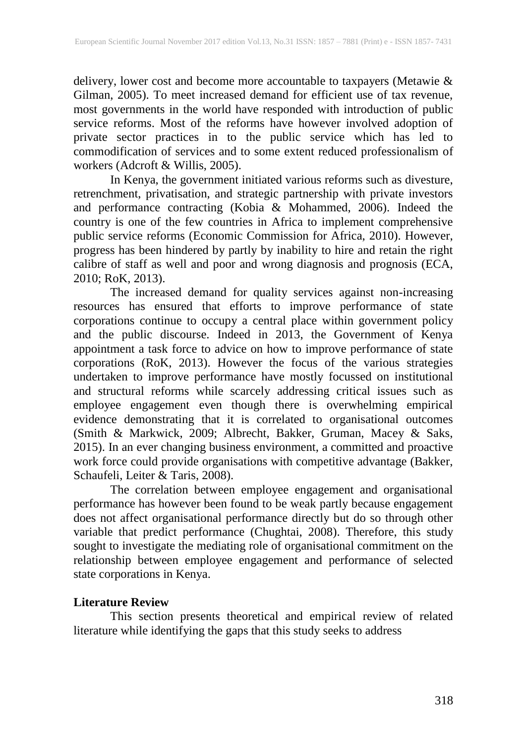delivery, lower cost and become more accountable to taxpayers (Metawie & Gilman, 2005). To meet increased demand for efficient use of tax revenue, most governments in the world have responded with introduction of public service reforms. Most of the reforms have however involved adoption of private sector practices in to the public service which has led to commodification of services and to some extent reduced professionalism of workers (Adcroft & Willis, 2005).

In Kenya, the government initiated various reforms such as divesture, retrenchment, privatisation, and strategic partnership with private investors and performance contracting (Kobia & Mohammed, 2006). Indeed the country is one of the few countries in Africa to implement comprehensive public service reforms (Economic Commission for Africa, 2010). However, progress has been hindered by partly by inability to hire and retain the right calibre of staff as well and poor and wrong diagnosis and prognosis (ECA, 2010; RoK, 2013).

The increased demand for quality services against non-increasing resources has ensured that efforts to improve performance of state corporations continue to occupy a central place within government policy and the public discourse. Indeed in 2013, the Government of Kenya appointment a task force to advice on how to improve performance of state corporations (RoK, 2013). However the focus of the various strategies undertaken to improve performance have mostly focussed on institutional and structural reforms while scarcely addressing critical issues such as employee engagement even though there is overwhelming empirical evidence demonstrating that it is correlated to organisational outcomes (Smith & Markwick, 2009; Albrecht, Bakker, Gruman, Macey & Saks, 2015). In an ever changing business environment, a committed and proactive work force could provide organisations with competitive advantage (Bakker, Schaufeli, Leiter & Taris, 2008).

The correlation between employee engagement and organisational performance has however been found to be weak partly because engagement does not affect organisational performance directly but do so through other variable that predict performance (Chughtai, 2008). Therefore, this study sought to investigate the mediating role of organisational commitment on the relationship between employee engagement and performance of selected state corporations in Kenya.

## **Literature Review**

This section presents theoretical and empirical review of related literature while identifying the gaps that this study seeks to address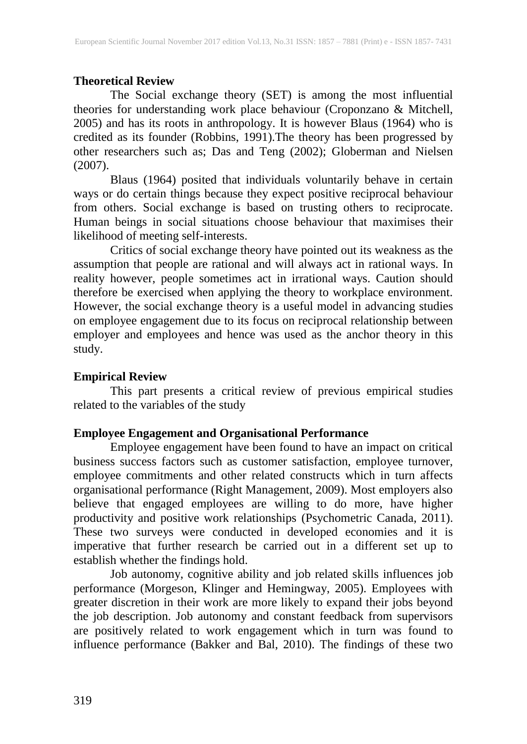### **Theoretical Review**

The Social exchange theory (SET) is among the most influential theories for understanding work place behaviour (Croponzano & Mitchell, 2005) and has its roots in anthropology. It is however Blaus (1964) who is credited as its founder (Robbins, 1991).The theory has been progressed by other researchers such as; Das and Teng (2002); Globerman and Nielsen (2007).

Blaus (1964) posited that individuals voluntarily behave in certain ways or do certain things because they expect positive reciprocal behaviour from others. Social exchange is based on trusting others to reciprocate. Human beings in social situations choose behaviour that maximises their likelihood of meeting self-interests.

Critics of social exchange theory have pointed out its weakness as the assumption that people are rational and will always act in rational ways. In reality however, people sometimes act in irrational ways. Caution should therefore be exercised when applying the theory to workplace environment. However, the social exchange theory is a useful model in advancing studies on employee engagement due to its focus on reciprocal relationship between employer and employees and hence was used as the anchor theory in this study.

#### **Empirical Review**

This part presents a critical review of previous empirical studies related to the variables of the study

### **Employee Engagement and Organisational Performance**

Employee engagement have been found to have an impact on critical business success factors such as customer satisfaction, employee turnover, employee commitments and other related constructs which in turn affects organisational performance (Right Management, 2009). Most employers also believe that engaged employees are willing to do more, have higher productivity and positive work relationships (Psychometric Canada, 2011). These two surveys were conducted in developed economies and it is imperative that further research be carried out in a different set up to establish whether the findings hold.

Job autonomy, cognitive ability and job related skills influences job performance (Morgeson, Klinger and Hemingway, 2005). Employees with greater discretion in their work are more likely to expand their jobs beyond the job description. Job autonomy and constant feedback from supervisors are positively related to work engagement which in turn was found to influence performance (Bakker and Bal, 2010). The findings of these two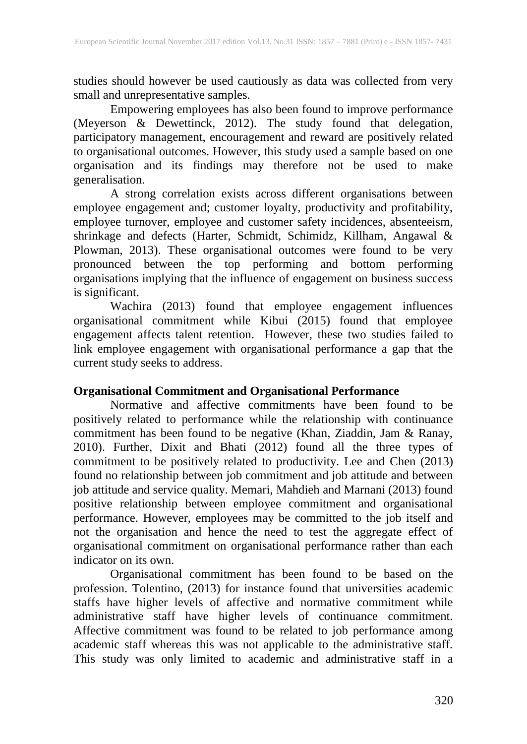studies should however be used cautiously as data was collected from very small and unrepresentative samples.

Empowering employees has also been found to improve performance (Meyerson & Dewettinck, 2012). The study found that delegation, participatory management, encouragement and reward are positively related to organisational outcomes. However, this study used a sample based on one organisation and its findings may therefore not be used to make generalisation.

A strong correlation exists across different organisations between employee engagement and; customer loyalty, productivity and profitability, employee turnover, employee and customer safety incidences, absenteeism, shrinkage and defects (Harter, Schmidt, Schimidz, Killham, Angawal & Plowman, 2013). These organisational outcomes were found to be very pronounced between the top performing and bottom performing organisations implying that the influence of engagement on business success is significant.

Wachira (2013) found that employee engagement influences organisational commitment while Kibui (2015) found that employee engagement affects talent retention. However, these two studies failed to link employee engagement with organisational performance a gap that the current study seeks to address.

### **Organisational Commitment and Organisational Performance**

Normative and affective commitments have been found to be positively related to performance while the relationship with continuance commitment has been found to be negative (Khan, Ziaddin, Jam & Ranay, 2010). Further, Dixit and Bhati (2012) found all the three types of commitment to be positively related to productivity. Lee and Chen (2013) found no relationship between job commitment and job attitude and between job attitude and service quality. Memari, Mahdieh and Marnani (2013) found positive relationship between employee commitment and organisational performance. However, employees may be committed to the job itself and not the organisation and hence the need to test the aggregate effect of organisational commitment on organisational performance rather than each indicator on its own.

Organisational commitment has been found to be based on the profession. Tolentino, (2013) for instance found that universities academic staffs have higher levels of affective and normative commitment while administrative staff have higher levels of continuance commitment. Affective commitment was found to be related to job performance among academic staff whereas this was not applicable to the administrative staff. This study was only limited to academic and administrative staff in a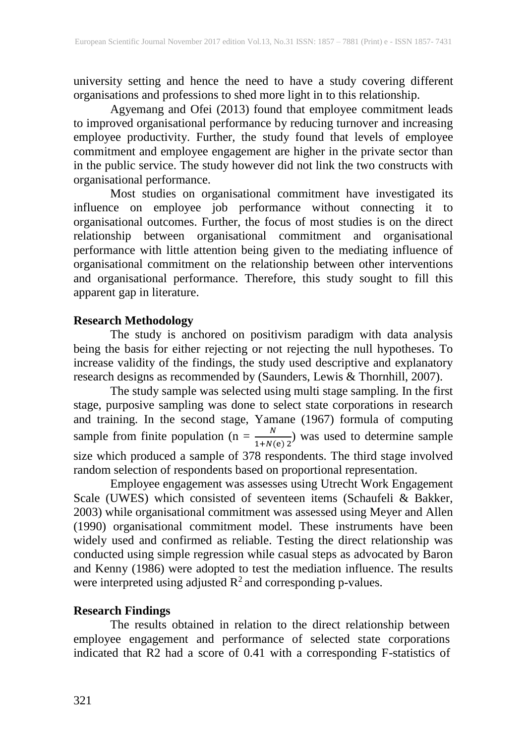university setting and hence the need to have a study covering different organisations and professions to shed more light in to this relationship.

Agyemang and Ofei (2013) found that employee commitment leads to improved organisational performance by reducing turnover and increasing employee productivity. Further, the study found that levels of employee commitment and employee engagement are higher in the private sector than in the public service. The study however did not link the two constructs with organisational performance.

Most studies on organisational commitment have investigated its influence on employee job performance without connecting it to organisational outcomes. Further, the focus of most studies is on the direct relationship between organisational commitment and organisational performance with little attention being given to the mediating influence of organisational commitment on the relationship between other interventions and organisational performance. Therefore, this study sought to fill this apparent gap in literature.

#### **Research Methodology**

The study is anchored on positivism paradigm with data analysis being the basis for either rejecting or not rejecting the null hypotheses. To increase validity of the findings, the study used descriptive and explanatory research designs as recommended by (Saunders, Lewis & Thornhill, 2007).

The study sample was selected using multi stage sampling. In the first stage, purposive sampling was done to select state corporations in research and training. In the second stage, Yamane (1967) formula of computing sample from finite population (n =  $\frac{N}{1+N}$  $\frac{N}{1+N(e) 2}$  was used to determine sample size which produced a sample of 378 respondents. The third stage involved random selection of respondents based on proportional representation.

Employee engagement was assesses using Utrecht Work Engagement Scale (UWES) which consisted of seventeen items (Schaufeli & Bakker, 2003) while organisational commitment was assessed using Meyer and Allen (1990) organisational commitment model. These instruments have been widely used and confirmed as reliable. Testing the direct relationship was conducted using simple regression while casual steps as advocated by Baron and Kenny (1986) were adopted to test the mediation influence. The results were interpreted using adjusted  $R^2$  and corresponding p-values.

#### **Research Findings**

The results obtained in relation to the direct relationship between employee engagement and performance of selected state corporations indicated that R2 had a score of 0.41 with a corresponding F-statistics of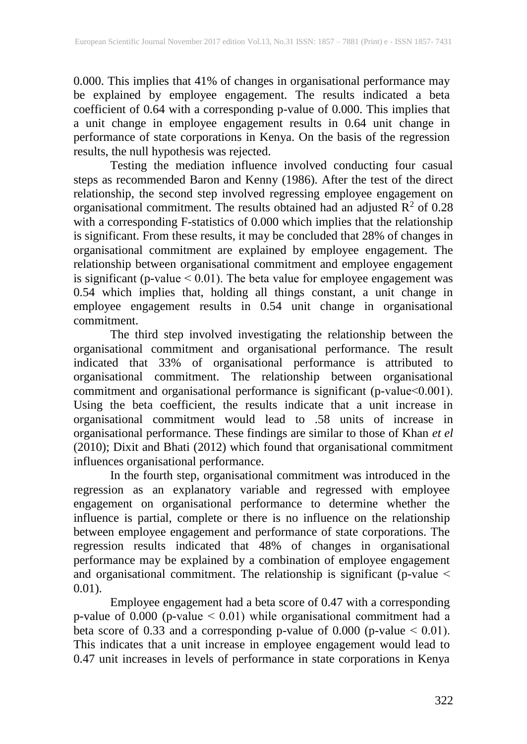0.000. This implies that 41% of changes in organisational performance may be explained by employee engagement. The results indicated a beta coefficient of 0.64 with a corresponding p-value of 0.000. This implies that a unit change in employee engagement results in 0.64 unit change in performance of state corporations in Kenya. On the basis of the regression results, the null hypothesis was rejected.

Testing the mediation influence involved conducting four casual steps as recommended Baron and Kenny (1986). After the test of the direct relationship, the second step involved regressing employee engagement on organisational commitment. The results obtained had an adjusted  $\mathbb{R}^2$  of 0.28 with a corresponding F-statistics of 0.000 which implies that the relationship is significant. From these results, it may be concluded that 28% of changes in organisational commitment are explained by employee engagement. The relationship between organisational commitment and employee engagement is significant (p-value ˂ 0.01). The beta value for employee engagement was 0.54 which implies that, holding all things constant, a unit change in employee engagement results in 0.54 unit change in organisational commitment.

The third step involved investigating the relationship between the organisational commitment and organisational performance. The result indicated that 33% of organisational performance is attributed to organisational commitment. The relationship between organisational commitment and organisational performance is significant (p-value˂0.001). Using the beta coefficient, the results indicate that a unit increase in organisational commitment would lead to .58 units of increase in organisational performance. These findings are similar to those of Khan *et el* (2010); Dixit and Bhati (2012) which found that organisational commitment influences organisational performance.

In the fourth step, organisational commitment was introduced in the regression as an explanatory variable and regressed with employee engagement on organisational performance to determine whether the influence is partial, complete or there is no influence on the relationship between employee engagement and performance of state corporations. The regression results indicated that 48% of changes in organisational performance may be explained by a combination of employee engagement and organisational commitment. The relationship is significant (p-value ˂ 0.01).

Employee engagement had a beta score of 0.47 with a corresponding p-value of 0.000 (p-value ˂ 0.01) while organisational commitment had a beta score of 0.33 and a corresponding p-value of 0.000 (p-value  $< 0.01$ ). This indicates that a unit increase in employee engagement would lead to 0.47 unit increases in levels of performance in state corporations in Kenya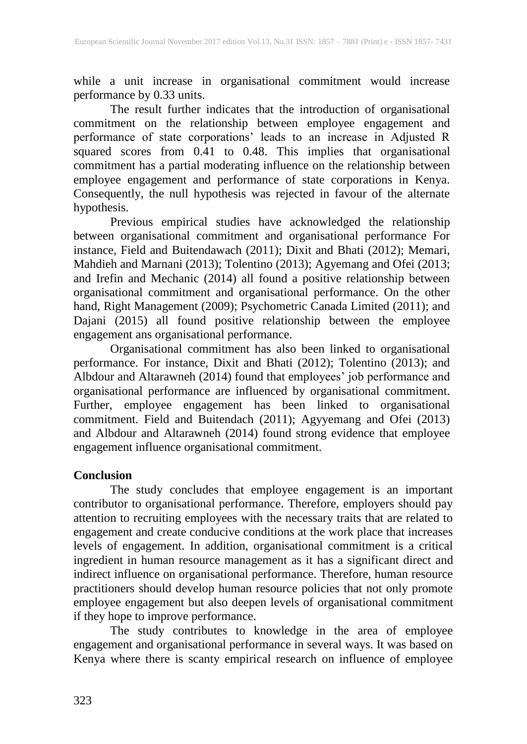while a unit increase in organisational commitment would increase performance by 0.33 units.

The result further indicates that the introduction of organisational commitment on the relationship between employee engagement and performance of state corporations' leads to an increase in Adjusted R squared scores from 0.41 to 0.48. This implies that organisational commitment has a partial moderating influence on the relationship between employee engagement and performance of state corporations in Kenya. Consequently, the null hypothesis was rejected in favour of the alternate hypothesis.

Previous empirical studies have acknowledged the relationship between organisational commitment and organisational performance For instance, Field and Buitendawach (2011); Dixit and Bhati (2012); Memari, Mahdieh and Marnani (2013); Tolentino (2013); Agyemang and Ofei (2013; and Irefin and Mechanic (2014) all found a positive relationship between organisational commitment and organisational performance. On the other hand, Right Management (2009); Psychometric Canada Limited (2011); and Dajani (2015) all found positive relationship between the employee engagement ans organisational performance.

Organisational commitment has also been linked to organisational performance. For instance, Dixit and Bhati (2012); Tolentino (2013); and Albdour and Altarawneh (2014) found that employees' job performance and organisational performance are influenced by organisational commitment. Further, employee engagement has been linked to organisational commitment. Field and Buitendach (2011); Agyyemang and Ofei (2013) and Albdour and Altarawneh (2014) found strong evidence that employee engagement influence organisational commitment.

#### **Conclusion**

The study concludes that employee engagement is an important contributor to organisational performance. Therefore, employers should pay attention to recruiting employees with the necessary traits that are related to engagement and create conducive conditions at the work place that increases levels of engagement. In addition, organisational commitment is a critical ingredient in human resource management as it has a significant direct and indirect influence on organisational performance. Therefore, human resource practitioners should develop human resource policies that not only promote employee engagement but also deepen levels of organisational commitment if they hope to improve performance.

The study contributes to knowledge in the area of employee engagement and organisational performance in several ways. It was based on Kenya where there is scanty empirical research on influence of employee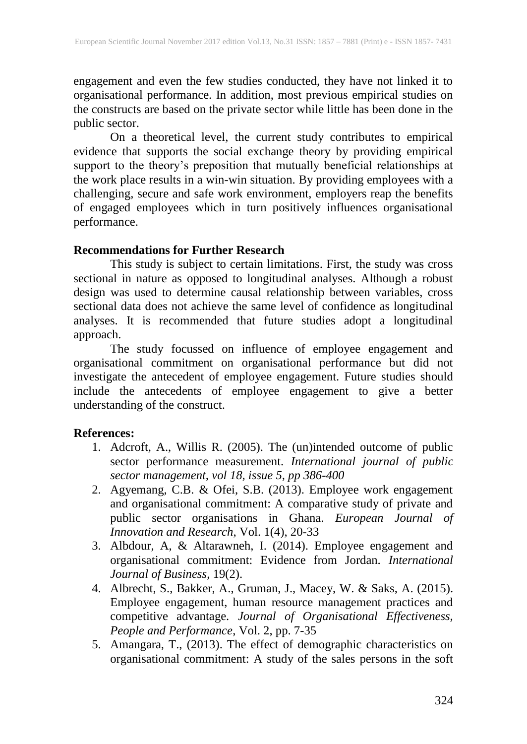engagement and even the few studies conducted, they have not linked it to organisational performance. In addition, most previous empirical studies on the constructs are based on the private sector while little has been done in the public sector.

On a theoretical level, the current study contributes to empirical evidence that supports the social exchange theory by providing empirical support to the theory's preposition that mutually beneficial relationships at the work place results in a win-win situation. By providing employees with a challenging, secure and safe work environment, employers reap the benefits of engaged employees which in turn positively influences organisational performance.

#### **Recommendations for Further Research**

This study is subject to certain limitations. First, the study was cross sectional in nature as opposed to longitudinal analyses. Although a robust design was used to determine causal relationship between variables, cross sectional data does not achieve the same level of confidence as longitudinal analyses. It is recommended that future studies adopt a longitudinal approach.

The study focussed on influence of employee engagement and organisational commitment on organisational performance but did not investigate the antecedent of employee engagement. Future studies should include the antecedents of employee engagement to give a better understanding of the construct.

#### **References:**

- 1. Adcroft, A., Willis R. (2005). The (un)intended outcome of public sector performance measurement. *International journal of public sector management, vol 18, issue 5, pp 386-400*
- 2. Agyemang, C.B. & Ofei, S.B. (2013). Employee work engagement and organisational commitment: A comparative study of private and public sector organisations in Ghana. *European Journal of Innovation and Research*, Vol. 1(4), 20-33
- 3. Albdour, A, & Altarawneh, I. (2014). Employee engagement and organisational commitment: Evidence from Jordan. *International Journal of Business*, 19(2).
- 4. Albrecht, S., Bakker, A., Gruman, J., Macey, W. & Saks, A. (2015). Employee engagement, human resource management practices and competitive advantage. *Journal of Organisational Effectiveness, People and Performance*, Vol. 2, pp. 7-35
- 5. Amangara, T., (2013). The effect of demographic characteristics on organisational commitment: A study of the sales persons in the soft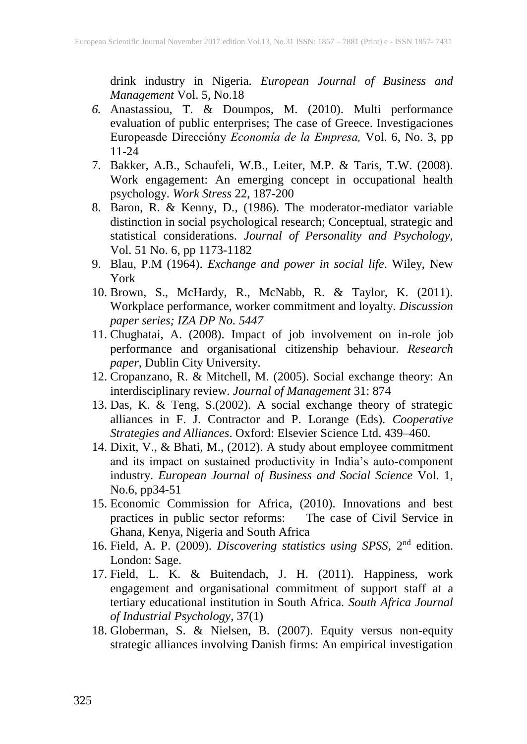drink industry in Nigeria. *European Journal of Business and Management* Vol. 5, No.18

- *6.* Anastassiou, T. & Doumpos, M. (2010). Multi performance evaluation of public enterprises; The case of Greece. Investigaciones Europeasde Direccióny *Economía de la Empresa,* Vol. 6, No. 3, pp 11-24
- 7. Bakker, A.B., Schaufeli, W.B., Leiter, M.P. & Taris, T.W. (2008). Work engagement: An emerging concept in occupational health psychology. *Work Stress* 22, 187-200
- 8. Baron, R. & Kenny, D., (1986). The moderator-mediator variable distinction in social psychological research; Conceptual, strategic and statistical considerations. *Journal of Personality and Psychology,* Vol. 51 No. 6, pp 1173-1182
- 9. Blau, P.M (1964). *Exchange and power in social life*. Wiley, New York
- 10. Brown, S., McHardy, R., McNabb, R. & Taylor, K. (2011). Workplace performance, worker commitment and loyalty. *Discussion paper series; IZA DP No. 5447*
- 11. Chughatai, A. (2008). Impact of job involvement on in-role job performance and organisational citizenship behaviour. *Research paper*, Dublin City University.
- 12. Cropanzano, R. & Mitchell, M. (2005). Social exchange theory: An interdisciplinary review. *Journal of Management* 31: 874
- 13. Das, K. & Teng, S.(2002). A social exchange theory of strategic alliances in F. J. Contractor and P. Lorange (Eds). *Cooperative Strategies and Alliances*. Oxford: Elsevier Science Ltd. 439–460.
- 14. Dixit, V., & Bhati, M., (2012). A study about employee commitment and its impact on sustained productivity in India's auto-component industry. *European Journal of Business and Social Science* Vol. 1, No.6, pp34-51
- 15. Economic Commission for Africa, (2010). Innovations and best practices in public sector reforms: The case of Civil Service in Ghana, Kenya, Nigeria and South Africa
- 16. Field, A. P. (2009). *Discovering statistics using SPSS*, 2<sup>nd</sup> edition. London: Sage.
- 17. Field, L. K. & Buitendach, J. H. (2011). Happiness, work engagement and organisational commitment of support staff at a tertiary educational institution in South Africa. *South Africa Journal of Industrial Psychology*, 37(1)
- 18. Globerman, S. & Nielsen, B. (2007). Equity versus non-equity strategic alliances involving Danish firms: An empirical investigation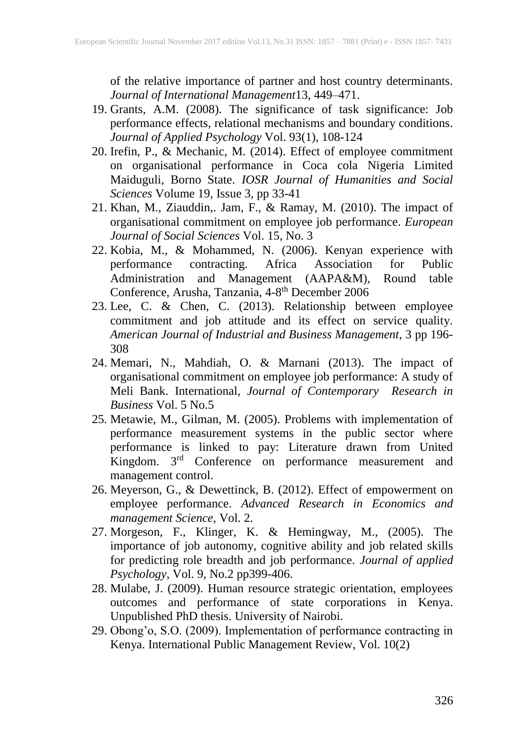of the relative importance of partner and host country determinants. *Journal of International Management*13, 449–471.

- 19. Grants, A.M. (2008). The significance of task significance: Job performance effects, relational mechanisms and boundary conditions. *Journal of Applied Psychology* Vol. 93(1), 108-124
- 20. Irefin, P., & Mechanic, M. (2014). Effect of employee commitment on organisational performance in Coca cola Nigeria Limited Maiduguli, Borno State. *IOSR Journal of Humanities and Social Sciences* Volume 19, Issue 3, pp 33-41
- 21. Khan, M., Ziauddin,. Jam, F., & Ramay, M. (2010). The impact of organisational commitment on employee job performance. *European Journal of Social Sciences* Vol. 15, No. 3
- 22. Kobia, M., & Mohammed, N. (2006). Kenyan experience with performance contracting. Africa Association for Public Administration and Management (AAPA&M), Round table Conference, Arusha, Tanzania, 4-8<sup>th</sup> December 2006
- 23. Lee, C. & Chen, C. (2013). Relationship between employee commitment and job attitude and its effect on service quality. *American Journal of Industrial and Business Management*, 3 pp 196- 308
- 24. Memari, N., Mahdiah, O. & Marnani (2013). The impact of organisational commitment on employee job performance: A study of Meli Bank. International, *Journal of Contemporary Research in Business* Vol. 5 No.5
- 25. Metawie, M., Gilman, M. (2005). Problems with implementation of performance measurement systems in the public sector where performance is linked to pay: Literature drawn from United Kingdom. 3<sup>rd</sup> Conference on performance measurement and management control.
- 26. Meyerson, G., & Dewettinck, B. (2012). Effect of empowerment on employee performance. *Advanced Research in Economics and management Science*, Vol. 2.
- 27. Morgeson, F., Klinger, K. & Hemingway, M., (2005). The importance of job autonomy, cognitive ability and job related skills for predicting role breadth and job performance. *Journal of applied Psychology*, Vol. 9, No.2 pp399-406.
- 28. Mulabe, J. (2009). Human resource strategic orientation, employees outcomes and performance of state corporations in Kenya. Unpublished PhD thesis. University of Nairobi.
- 29. Obong'o, S.O. (2009). Implementation of performance contracting in Kenya. International Public Management Review, Vol. 10(2)